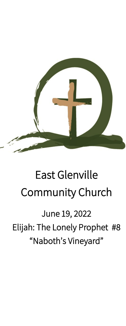

# East Glenville Community Church

June 19, 2022 Elijah: The Lonely Prophet #8 "Naboth's Vineyard"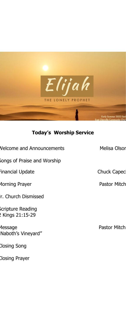

## **Today's Worship Service**

| Songs of Praise and Worship<br>Financial Update<br>Morning Prayer |
|-------------------------------------------------------------------|
|                                                                   |
|                                                                   |
|                                                                   |
| r. Church Dismissed                                               |
| Scripture Reading<br>Kings 21:15-29                               |
| essage<br>Naboth's Vineyard"                                      |

Closing Prayer

Closing Song

**Melisa Olson** 

Chuck Capec

Pastor Mitch

Pastor Mitch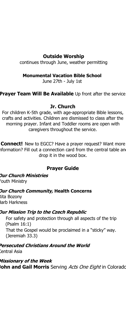## **Outside Worship**

continues through June, weather permitting

#### **Monumental Vacation Bible School**

June 27th - July 1st

**Prayer Team Will Be Available** Up front after the service

## **Jr. Church**

For children K-5th grade, with age-appropriate Bible lessons, crafts and activities. Children are dismissed to class after the morning prayer. Infant and Toddler rooms are open with caregivers throughout the service.

**Connect!** New to EGCC? Have a prayer request? Want more iformation? Fill out a connection card from the central table an drop it in the wood box.

## **Prayer Guide**

**Our Church Ministries** Youth Ministry

## **Our Church Community, Health Concerns**

Rita Bozony Barb Harkness

## **Our Mission Trip to the Czech Republic**

• For safety and protection through all aspects of the trip (Psalm 16:1) That the Gospel would be proclaimed in a "sticky" way. (Jeremiah 33.3)

**Persecuted Christians Around the World** Central Asia

**Missionary of the Week John and Gail Morris** Serving Acts One Eight in Colorado